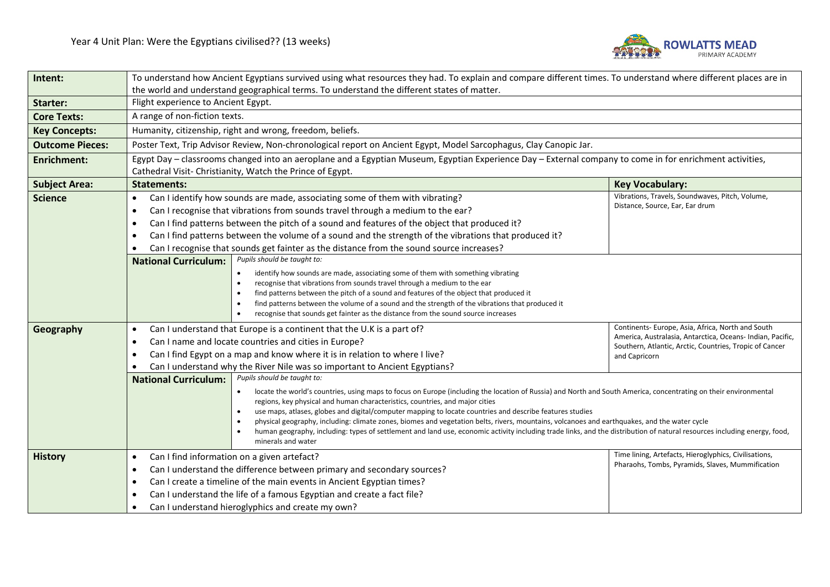

| Intent:                | To understand how Ancient Egyptians survived using what resources they had. To explain and compare different times. To understand where different places are in                          |                                                                                                                       |  |  |
|------------------------|------------------------------------------------------------------------------------------------------------------------------------------------------------------------------------------|-----------------------------------------------------------------------------------------------------------------------|--|--|
|                        | the world and understand geographical terms. To understand the different states of matter.                                                                                               |                                                                                                                       |  |  |
| Starter:               | Flight experience to Ancient Egypt.                                                                                                                                                      |                                                                                                                       |  |  |
| <b>Core Texts:</b>     | A range of non-fiction texts.                                                                                                                                                            |                                                                                                                       |  |  |
| <b>Key Concepts:</b>   | Humanity, citizenship, right and wrong, freedom, beliefs.                                                                                                                                |                                                                                                                       |  |  |
| <b>Outcome Pieces:</b> | Poster Text, Trip Advisor Review, Non-chronological report on Ancient Egypt, Model Sarcophagus, Clay Canopic Jar.                                                                        |                                                                                                                       |  |  |
| <b>Enrichment:</b>     | Egypt Day - classrooms changed into an aeroplane and a Egyptian Museum, Egyptian Experience Day - External company to come in for enrichment activities,                                 |                                                                                                                       |  |  |
|                        | Cathedral Visit- Christianity, Watch the Prince of Egypt.                                                                                                                                |                                                                                                                       |  |  |
| <b>Subject Area:</b>   | <b>Statements:</b><br><b>Key Vocabulary:</b>                                                                                                                                             |                                                                                                                       |  |  |
| <b>Science</b>         | Can I identify how sounds are made, associating some of them with vibrating?<br>$\bullet$                                                                                                | Vibrations, Travels, Soundwaves, Pitch, Volume,<br>Distance, Source, Ear, Ear drum                                    |  |  |
|                        | Can I recognise that vibrations from sounds travel through a medium to the ear?<br>$\bullet$                                                                                             |                                                                                                                       |  |  |
|                        | Can I find patterns between the pitch of a sound and features of the object that produced it?<br>$\bullet$                                                                               |                                                                                                                       |  |  |
|                        | Can I find patterns between the volume of a sound and the strength of the vibrations that produced it?<br>$\bullet$                                                                      |                                                                                                                       |  |  |
|                        | Can I recognise that sounds get fainter as the distance from the sound source increases?                                                                                                 |                                                                                                                       |  |  |
|                        | Pupils should be taught to:<br><b>National Curriculum:</b>                                                                                                                               |                                                                                                                       |  |  |
|                        | identify how sounds are made, associating some of them with something vibrating<br>$\bullet$<br>recognise that vibrations from sounds travel through a medium to the ear                 |                                                                                                                       |  |  |
|                        | find patterns between the pitch of a sound and features of the object that produced it                                                                                                   |                                                                                                                       |  |  |
|                        | find patterns between the volume of a sound and the strength of the vibrations that produced it<br>$\bullet$                                                                             |                                                                                                                       |  |  |
|                        | recognise that sounds get fainter as the distance from the sound source increases                                                                                                        |                                                                                                                       |  |  |
| Geography              | Can I understand that Europe is a continent that the U.K is a part of?<br>$\bullet$                                                                                                      | Continents- Europe, Asia, Africa, North and South                                                                     |  |  |
|                        | Can I name and locate countries and cities in Europe?<br>$\bullet$                                                                                                                       | America, Australasia, Antarctica, Oceans- Indian, Pacific,<br>Southern, Atlantic, Arctic, Countries, Tropic of Cancer |  |  |
|                        | Can I find Egypt on a map and know where it is in relation to where I live?<br>$\bullet$                                                                                                 | and Capricorn                                                                                                         |  |  |
|                        | Can I understand why the River Nile was so important to Ancient Egyptians?                                                                                                               |                                                                                                                       |  |  |
|                        | Pupils should be taught to:<br><b>National Curriculum:</b>                                                                                                                               |                                                                                                                       |  |  |
|                        | locate the world's countries, using maps to focus on Europe (including the location of Russia) and North and South America, concentrating on their environmental                         |                                                                                                                       |  |  |
|                        | regions, key physical and human characteristics, countries, and major cities<br>use maps, atlases, globes and digital/computer mapping to locate countries and describe features studies |                                                                                                                       |  |  |
|                        | physical geography, including: climate zones, biomes and vegetation belts, rivers, mountains, volcanoes and earthquakes, and the water cycle                                             |                                                                                                                       |  |  |
|                        | human geography, including: types of settlement and land use, economic activity including trade links, and the distribution of natural resources including energy, food,                 |                                                                                                                       |  |  |
|                        | minerals and water                                                                                                                                                                       |                                                                                                                       |  |  |
| <b>History</b>         | Time lining, Artefacts, Hieroglyphics, Civilisations,<br>Can I find information on a given artefact?<br>$\bullet$<br>Pharaohs, Tombs, Pyramids, Slaves, Mummification                    |                                                                                                                       |  |  |
|                        | Can I understand the difference between primary and secondary sources?<br>$\bullet$                                                                                                      |                                                                                                                       |  |  |
|                        | Can I create a timeline of the main events in Ancient Egyptian times?<br>$\bullet$                                                                                                       |                                                                                                                       |  |  |
|                        | Can I understand the life of a famous Egyptian and create a fact file?<br>$\bullet$                                                                                                      |                                                                                                                       |  |  |
|                        | Can I understand hieroglyphics and create my own?<br>$\bullet$                                                                                                                           |                                                                                                                       |  |  |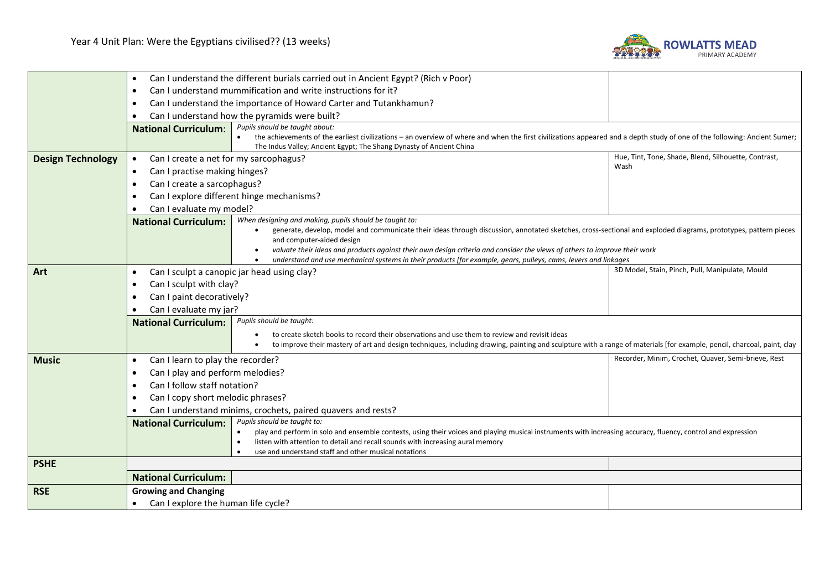

|                          | Can I understand the different burials carried out in Ancient Egypt? (Rich v Poor)<br>$\bullet$                                                                                                                                                                                                                                                                                                |                                                                                                                                                                                                                                                                                                                                                                                                                                                                                                                                 |                                                      |  |
|--------------------------|------------------------------------------------------------------------------------------------------------------------------------------------------------------------------------------------------------------------------------------------------------------------------------------------------------------------------------------------------------------------------------------------|---------------------------------------------------------------------------------------------------------------------------------------------------------------------------------------------------------------------------------------------------------------------------------------------------------------------------------------------------------------------------------------------------------------------------------------------------------------------------------------------------------------------------------|------------------------------------------------------|--|
|                          | Can I understand mummification and write instructions for it?<br>$\bullet$                                                                                                                                                                                                                                                                                                                     |                                                                                                                                                                                                                                                                                                                                                                                                                                                                                                                                 |                                                      |  |
|                          | Can I understand the importance of Howard Carter and Tutankhamun?<br>$\bullet$                                                                                                                                                                                                                                                                                                                 |                                                                                                                                                                                                                                                                                                                                                                                                                                                                                                                                 |                                                      |  |
|                          | Can I understand how the pyramids were built?                                                                                                                                                                                                                                                                                                                                                  |                                                                                                                                                                                                                                                                                                                                                                                                                                                                                                                                 |                                                      |  |
|                          | <b>National Curriculum:</b>                                                                                                                                                                                                                                                                                                                                                                    | Pupils should be taught about:<br>• the achievements of the earliest civilizations – an overview of where and when the first civilizations appeared and a depth study of one of the following: Ancient Sumer;<br>The Indus Valley; Ancient Egypt; The Shang Dynasty of Ancient China                                                                                                                                                                                                                                            |                                                      |  |
| <b>Design Technology</b> | Can I create a net for my sarcophagus?<br>$\bullet$                                                                                                                                                                                                                                                                                                                                            |                                                                                                                                                                                                                                                                                                                                                                                                                                                                                                                                 | Hue, Tint, Tone, Shade, Blend, Silhouette, Contrast, |  |
|                          | Wash<br>Can I practise making hinges?<br>$\bullet$                                                                                                                                                                                                                                                                                                                                             |                                                                                                                                                                                                                                                                                                                                                                                                                                                                                                                                 |                                                      |  |
|                          | Can I create a sarcophagus?<br>$\bullet$                                                                                                                                                                                                                                                                                                                                                       |                                                                                                                                                                                                                                                                                                                                                                                                                                                                                                                                 |                                                      |  |
|                          | Can I explore different hinge mechanisms?                                                                                                                                                                                                                                                                                                                                                      |                                                                                                                                                                                                                                                                                                                                                                                                                                                                                                                                 |                                                      |  |
|                          | Can I evaluate my model?                                                                                                                                                                                                                                                                                                                                                                       |                                                                                                                                                                                                                                                                                                                                                                                                                                                                                                                                 |                                                      |  |
|                          | <b>National Curriculum:</b>                                                                                                                                                                                                                                                                                                                                                                    | When designing and making, pupils should be taught to:<br>generate, develop, model and communicate their ideas through discussion, annotated sketches, cross-sectional and exploded diagrams, prototypes, pattern pieces<br>$\bullet$<br>and computer-aided design<br>valuate their ideas and products against their own design criteria and consider the views of others to improve their work<br>understand and use mechanical systems in their products [for example, gears, pulleys, cams, levers and linkages<br>$\bullet$ |                                                      |  |
| Art                      | $\bullet$                                                                                                                                                                                                                                                                                                                                                                                      | Can I sculpt a canopic jar head using clay?                                                                                                                                                                                                                                                                                                                                                                                                                                                                                     | 3D Model, Stain, Pinch, Pull, Manipulate, Mould      |  |
|                          | Can I sculpt with clay?<br>$\bullet$                                                                                                                                                                                                                                                                                                                                                           |                                                                                                                                                                                                                                                                                                                                                                                                                                                                                                                                 |                                                      |  |
|                          | Can I paint decoratively?                                                                                                                                                                                                                                                                                                                                                                      |                                                                                                                                                                                                                                                                                                                                                                                                                                                                                                                                 |                                                      |  |
| Can I evaluate my jar?   |                                                                                                                                                                                                                                                                                                                                                                                                |                                                                                                                                                                                                                                                                                                                                                                                                                                                                                                                                 |                                                      |  |
|                          | <b>National Curriculum:</b>                                                                                                                                                                                                                                                                                                                                                                    | Pupils should be taught:                                                                                                                                                                                                                                                                                                                                                                                                                                                                                                        |                                                      |  |
|                          |                                                                                                                                                                                                                                                                                                                                                                                                | to create sketch books to record their observations and use them to review and revisit ideas                                                                                                                                                                                                                                                                                                                                                                                                                                    |                                                      |  |
|                          |                                                                                                                                                                                                                                                                                                                                                                                                | to improve their mastery of art and design techniques, including drawing, painting and sculpture with a range of materials [for example, pencil, charcoal, paint, clay<br>٠                                                                                                                                                                                                                                                                                                                                                     |                                                      |  |
| <b>Music</b>             | Can I learn to play the recorder?<br>$\bullet$                                                                                                                                                                                                                                                                                                                                                 |                                                                                                                                                                                                                                                                                                                                                                                                                                                                                                                                 | Recorder, Minim, Crochet, Quaver, Semi-brieve, Rest  |  |
|                          | Can I play and perform melodies?<br>$\bullet$                                                                                                                                                                                                                                                                                                                                                  |                                                                                                                                                                                                                                                                                                                                                                                                                                                                                                                                 |                                                      |  |
|                          | Can I follow staff notation?<br>$\bullet$                                                                                                                                                                                                                                                                                                                                                      |                                                                                                                                                                                                                                                                                                                                                                                                                                                                                                                                 |                                                      |  |
|                          | Can I copy short melodic phrases?                                                                                                                                                                                                                                                                                                                                                              |                                                                                                                                                                                                                                                                                                                                                                                                                                                                                                                                 |                                                      |  |
|                          | Can I understand minims, crochets, paired quavers and rests?                                                                                                                                                                                                                                                                                                                                   |                                                                                                                                                                                                                                                                                                                                                                                                                                                                                                                                 |                                                      |  |
|                          | Pupils should be taught to:<br><b>National Curriculum:</b><br>play and perform in solo and ensemble contexts, using their voices and playing musical instruments with increasing accuracy, fluency, control and expression<br>$\bullet$<br>listen with attention to detail and recall sounds with increasing aural memory<br>$\bullet$<br>use and understand staff and other musical notations |                                                                                                                                                                                                                                                                                                                                                                                                                                                                                                                                 |                                                      |  |
| <b>PSHE</b>              |                                                                                                                                                                                                                                                                                                                                                                                                |                                                                                                                                                                                                                                                                                                                                                                                                                                                                                                                                 |                                                      |  |
|                          | <b>National Curriculum:</b>                                                                                                                                                                                                                                                                                                                                                                    |                                                                                                                                                                                                                                                                                                                                                                                                                                                                                                                                 |                                                      |  |
| <b>RSE</b>               | <b>Growing and Changing</b>                                                                                                                                                                                                                                                                                                                                                                    |                                                                                                                                                                                                                                                                                                                                                                                                                                                                                                                                 |                                                      |  |
|                          | Can I explore the human life cycle?                                                                                                                                                                                                                                                                                                                                                            |                                                                                                                                                                                                                                                                                                                                                                                                                                                                                                                                 |                                                      |  |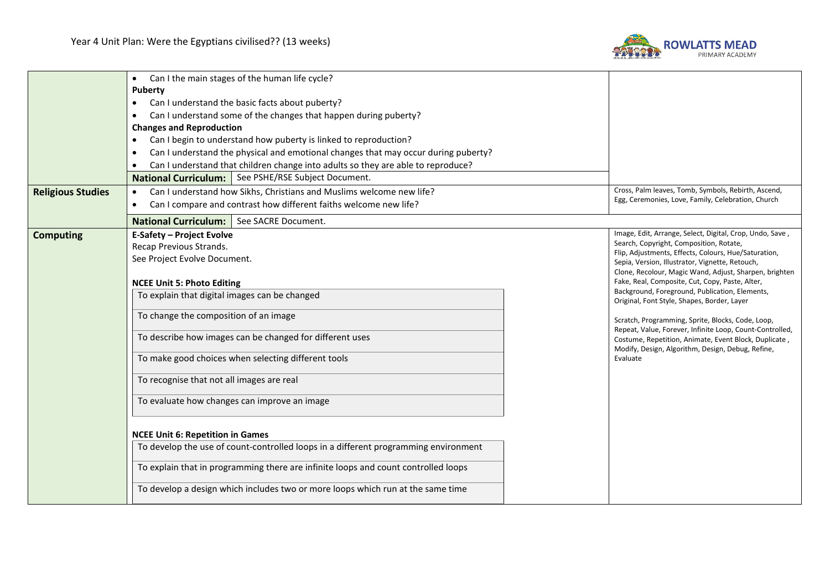

|                          | Can I the main stages of the human life cycle?<br>$\bullet$                                     |                                                                                                            |  |  |
|--------------------------|-------------------------------------------------------------------------------------------------|------------------------------------------------------------------------------------------------------------|--|--|
|                          | <b>Puberty</b>                                                                                  |                                                                                                            |  |  |
|                          | Can I understand the basic facts about puberty?<br>$\bullet$                                    |                                                                                                            |  |  |
|                          | Can I understand some of the changes that happen during puberty?                                |                                                                                                            |  |  |
|                          | <b>Changes and Reproduction</b>                                                                 |                                                                                                            |  |  |
|                          | Can I begin to understand how puberty is linked to reproduction?<br>$\bullet$                   |                                                                                                            |  |  |
|                          | Can I understand the physical and emotional changes that may occur during puberty?<br>$\bullet$ |                                                                                                            |  |  |
|                          | Can I understand that children change into adults so they are able to reproduce?                |                                                                                                            |  |  |
|                          | National Curriculum:   See PSHE/RSE Subject Document.                                           |                                                                                                            |  |  |
| <b>Religious Studies</b> | Can I understand how Sikhs, Christians and Muslims welcome new life?<br>$\bullet$               | Cross, Palm leaves, Tomb, Symbols, Rebirth, Ascend,                                                        |  |  |
|                          | Can I compare and contrast how different faiths welcome new life?<br>$\bullet$                  | Egg, Ceremonies, Love, Family, Celebration, Church                                                         |  |  |
|                          | See SACRE Document.<br><b>National Curriculum:</b>                                              |                                                                                                            |  |  |
| <b>Computing</b>         | <b>E-Safety - Project Evolve</b>                                                                | Image, Edit, Arrange, Select, Digital, Crop, Undo, Save,                                                   |  |  |
|                          | Recap Previous Strands.                                                                         | Search, Copyright, Composition, Rotate,<br>Flip, Adjustments, Effects, Colours, Hue/Saturation,            |  |  |
|                          | See Project Evolve Document.<br>Sepia, Version, Illustrator, Vignette, Retouch,                 |                                                                                                            |  |  |
|                          | Clone, Recolour, Magic Wand, Adjust, Sharpen, brighten                                          |                                                                                                            |  |  |
|                          | <b>NCEE Unit 5: Photo Editing</b>                                                               | Fake, Real, Composite, Cut, Copy, Paste, Alter,<br>Background, Foreground, Publication, Elements,          |  |  |
|                          | To explain that digital images can be changed                                                   | Original, Font Style, Shapes, Border, Layer                                                                |  |  |
|                          | To change the composition of an image                                                           | Scratch, Programming, Sprite, Blocks, Code, Loop,                                                          |  |  |
|                          | To describe how images can be changed for different uses                                        | Repeat, Value, Forever, Infinite Loop, Count-Controlled,                                                   |  |  |
|                          |                                                                                                 | Costume, Repetition, Animate, Event Block, Duplicate,<br>Modify, Design, Algorithm, Design, Debug, Refine, |  |  |
|                          | To make good choices when selecting different tools                                             | Evaluate                                                                                                   |  |  |
|                          | To recognise that not all images are real                                                       |                                                                                                            |  |  |
|                          |                                                                                                 |                                                                                                            |  |  |
|                          | To evaluate how changes can improve an image                                                    |                                                                                                            |  |  |
|                          |                                                                                                 |                                                                                                            |  |  |
|                          | <b>NCEE Unit 6: Repetition in Games</b>                                                         |                                                                                                            |  |  |
|                          | To develop the use of count-controlled loops in a different programming environment             |                                                                                                            |  |  |
|                          | To explain that in programming there are infinite loops and count controlled loops              |                                                                                                            |  |  |
|                          | To develop a design which includes two or more loops which run at the same time                 |                                                                                                            |  |  |
|                          |                                                                                                 |                                                                                                            |  |  |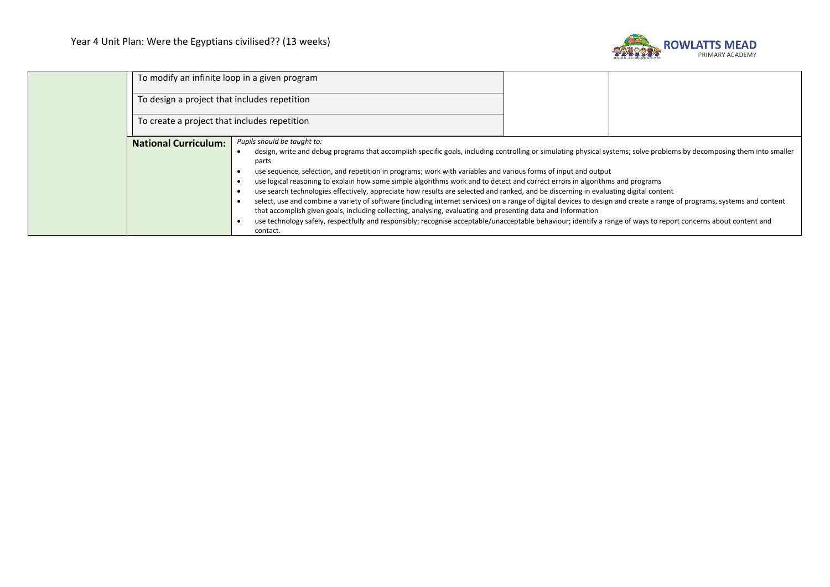

|                             | To modify an infinite loop in a given program<br>To design a project that includes repetition<br>To create a project that includes repetition<br>Pupils should be taught to:<br>design, write and debug programs that accomplish specific goals, including controlling or simulating physical systems; solve problems by decomposing them into smaller<br>parts<br>use sequence, selection, and repetition in programs; work with variables and various forms of input and output<br>use logical reasoning to explain how some simple algorithms work and to detect and correct errors in algorithms and programs<br>use search technologies effectively, appreciate how results are selected and ranked, and be discerning in evaluating digital content<br>select, use and combine a variety of software (including internet services) on a range of digital devices to design and create a range of programs, systems and content<br>that accomplish given goals, including collecting, analysing, evaluating and presenting data and information<br>use technology safely, respectfully and responsibly; recognise acceptable/unacceptable behaviour; identify a range of ways to report concerns about content and<br>contact. |  |  |
|-----------------------------|-------------------------------------------------------------------------------------------------------------------------------------------------------------------------------------------------------------------------------------------------------------------------------------------------------------------------------------------------------------------------------------------------------------------------------------------------------------------------------------------------------------------------------------------------------------------------------------------------------------------------------------------------------------------------------------------------------------------------------------------------------------------------------------------------------------------------------------------------------------------------------------------------------------------------------------------------------------------------------------------------------------------------------------------------------------------------------------------------------------------------------------------------------------------------------------------------------------------------------------|--|--|
| <b>National Curriculum:</b> |                                                                                                                                                                                                                                                                                                                                                                                                                                                                                                                                                                                                                                                                                                                                                                                                                                                                                                                                                                                                                                                                                                                                                                                                                                     |  |  |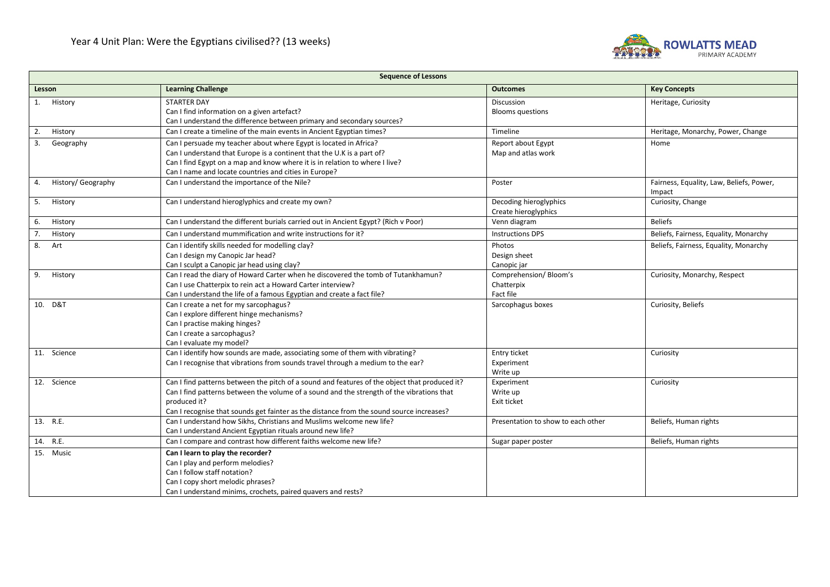

| <b>Sequence of Lessons</b>                                                    |                                                                                                                                                                                                                                                                                                        |                                                  |                                                    |
|-------------------------------------------------------------------------------|--------------------------------------------------------------------------------------------------------------------------------------------------------------------------------------------------------------------------------------------------------------------------------------------------------|--------------------------------------------------|----------------------------------------------------|
| <b>Learning Challenge</b><br><b>Outcomes</b><br><b>Key Concepts</b><br>Lesson |                                                                                                                                                                                                                                                                                                        |                                                  |                                                    |
| 1. History                                                                    | <b>STARTER DAY</b><br>Can I find information on a given artefact?<br>Can I understand the difference between primary and secondary sources?                                                                                                                                                            | Discussion<br><b>Blooms questions</b>            | Heritage, Curiosity                                |
| 2.<br>History                                                                 | Can I create a timeline of the main events in Ancient Egyptian times?                                                                                                                                                                                                                                  | Timeline                                         | Heritage, Monarchy, Power, Change                  |
| Geography<br>3.                                                               | Can I persuade my teacher about where Egypt is located in Africa?<br>Can I understand that Europe is a continent that the U.K is a part of?<br>Can I find Egypt on a map and know where it is in relation to where I live?<br>Can I name and locate countries and cities in Europe?                    | Report about Egypt<br>Map and atlas work         | Home                                               |
| History/ Geography<br>4.                                                      | Can I understand the importance of the Nile?                                                                                                                                                                                                                                                           | Poster                                           | Fairness, Equality, Law, Beliefs, Power,<br>Impact |
| History<br>5.                                                                 | Can I understand hieroglyphics and create my own?                                                                                                                                                                                                                                                      | Decoding hieroglyphics<br>Create hieroglyphics   | Curiosity, Change                                  |
| History<br>6.                                                                 | Can I understand the different burials carried out in Ancient Egypt? (Rich v Poor)                                                                                                                                                                                                                     | Venn diagram                                     | <b>Beliefs</b>                                     |
| 7.<br>History                                                                 | Can Lunderstand mummification and write instructions for it?                                                                                                                                                                                                                                           | <b>Instructions DPS</b>                          | Beliefs, Fairness, Equality, Monarchy              |
| 8.<br>Art                                                                     | Can I identify skills needed for modelling clay?<br>Can I design my Canopic Jar head?<br>Can I sculpt a Canopic jar head using clay?                                                                                                                                                                   | Photos<br>Design sheet<br>Canopic jar            | Beliefs, Fairness, Equality, Monarchy              |
| 9.<br>History                                                                 | Can I read the diary of Howard Carter when he discovered the tomb of Tutankhamun?<br>Can I use Chatterpix to rein act a Howard Carter interview?<br>Can I understand the life of a famous Egyptian and create a fact file?                                                                             | Comprehension/Bloom's<br>Chatterpix<br>Fact file | Curiosity, Monarchy, Respect                       |
| 10. D&T                                                                       | Can I create a net for my sarcophagus?<br>Can I explore different hinge mechanisms?<br>Can I practise making hinges?<br>Can I create a sarcophagus?<br>Can I evaluate my model?                                                                                                                        | Sarcophagus boxes                                | Curiosity, Beliefs                                 |
| 11. Science                                                                   | Can I identify how sounds are made, associating some of them with vibrating?<br>Can I recognise that vibrations from sounds travel through a medium to the ear?                                                                                                                                        | Entry ticket<br>Experiment<br>Write up           | Curiosity                                          |
| 12. Science                                                                   | Can I find patterns between the pitch of a sound and features of the object that produced it?<br>Can I find patterns between the volume of a sound and the strength of the vibrations that<br>produced it?<br>Can I recognise that sounds get fainter as the distance from the sound source increases? | Experiment<br>Write up<br>Exit ticket            | Curiosity                                          |
| 13. R.E.                                                                      | Can I understand how Sikhs, Christians and Muslims welcome new life?<br>Can I understand Ancient Egyptian rituals around new life?                                                                                                                                                                     | Presentation to show to each other               | Beliefs, Human rights                              |
| 14. R.E.                                                                      | Can I compare and contrast how different faiths welcome new life?                                                                                                                                                                                                                                      | Sugar paper poster                               | Beliefs, Human rights                              |
| 15. Music                                                                     | Can I learn to play the recorder?<br>Can I play and perform melodies?<br>Can I follow staff notation?<br>Can I copy short melodic phrases?<br>Can I understand minims, crochets, paired quavers and rests?                                                                                             |                                                  |                                                    |